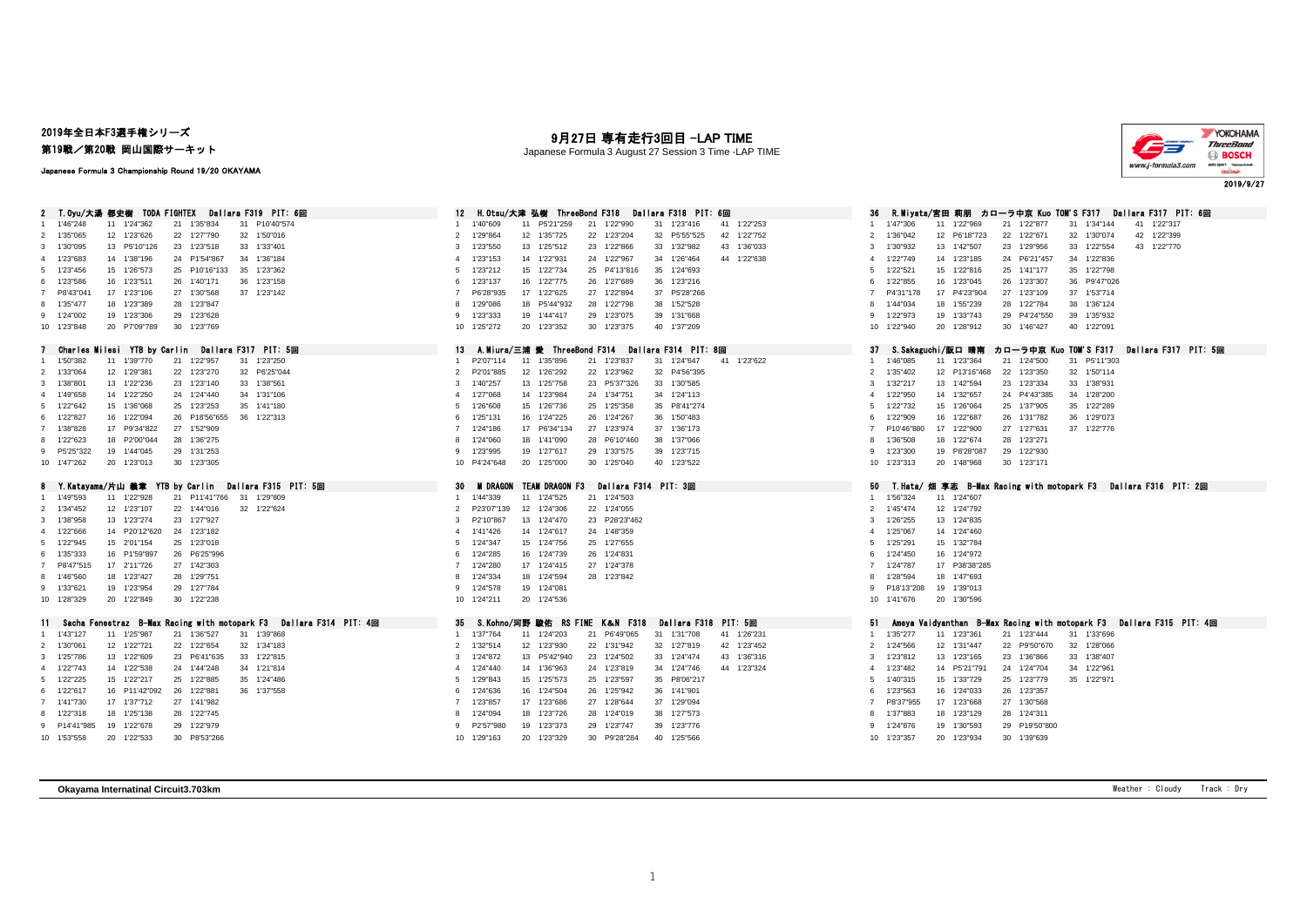### 2019年全日本F3選手権シリーズ

第19戦/第20戦 岡山国際サーキット

#### Japanese Formula 3 Championship Round 19/20 OKAYAMA

|  | 9月27日 専有走行3回目 -LAP TIME |  |
|--|-------------------------|--|
|--|-------------------------|--|

Japanese Formula 3 August 27 Session 3 Time -LAP TIME



| T.Oyu/大湯 都史樹 TODA FIGHTEX<br>Dallara F319 PIT: 6回                                                                                   | 12<br>H.Otsu/大津 弘樹 ThreeBond F318<br>Dallara F318 PIT: 6回                                                                             | <b>R.Miyata/宮田 莉朋 カローラ中京 Kuo TOM'S F317</b><br>Dallara F317 PIT: 6回                                                                                      |
|-------------------------------------------------------------------------------------------------------------------------------------|---------------------------------------------------------------------------------------------------------------------------------------|----------------------------------------------------------------------------------------------------------------------------------------------------------|
| 11 1'24"362<br>21<br>1'35"834<br>31 P10'40"574<br>1'46"248                                                                          | 1'40"609<br>11 P5'21"259<br>31 1'23"416<br>41 1'22"253<br>21 1'22"990                                                                 | 31 1'34"144<br>41 1'22"317<br>1'47"306<br>11 1'22"969<br>21 1'22"877                                                                                     |
| 2 1'35"065<br>12 1'23"626<br>22 1'27"790<br>32 1'50"016                                                                             | 1'29"864<br>12 1'35"725<br>22 1'23"204<br>32 P5'55"525<br>42 1'22"752<br>2                                                            | 12 P6'18"723<br>22 1'22"671<br>32 1'30"074<br>42 1'22"399<br>$\overline{2}$<br>1'36"042                                                                  |
| 3 1'30"095<br>13 P5'10"126<br>23 1'23"518<br>33 1'33"401                                                                            | 13 1'25"512<br>43 1'36"033<br>1'23"550<br>23 1'22"866<br>33 1'32"982<br>3                                                             | 43 1'22"770<br>1'30"932<br>13 1'42"507<br>23 1'29"956<br>33 1'22"554<br>3                                                                                |
| 4 1'23"683<br>14 1'38"196<br>24 P1'54"867<br>34 1'36"184                                                                            | 1'23"153<br>14 1'22"931<br>24 1'22"967<br>34 1'26"464<br>44 1'22"638<br>Δ                                                             | 14 1'23"185<br>24 P6'21"457<br>34 1'22"836<br>1'22"749<br>$\overline{4}$                                                                                 |
| 15 1'26"573<br>25 P10'16"133<br>35 1'23"362<br>5 1'23"456                                                                           | 15 1'22"734<br>25 P4'13"816<br>35 1'24"693<br>1'23"212<br>5                                                                           | 15 1'22"816<br>25 1'41"177<br>35 1'22"798<br>5<br>1'22"521                                                                                               |
| 16 1'23"511<br>6 1'23"586<br>26 1'40"171<br>36 1'23"158                                                                             | 16 1'22"775<br>26 1'27"689<br>36 1'23"216<br>1'23"137<br>6                                                                            | 36 P9'47"026<br>1'22"855<br>16 1'23"045<br>26 1'23"307<br>6                                                                                              |
| 17 1'23"106<br>37 1'23"142<br>7 P8'43"041<br>27 1'30"568                                                                            | P6'28"935<br>17 1'22"625<br>27 1'22"894<br>37 P5'28"266                                                                               | 17 P4'23"904<br>27 1'23"109<br>37 1'53"714<br>$\overline{7}$<br>P4'31"178                                                                                |
| 18 1'23"389<br>28 1'23"847<br>8 1'35"477                                                                                            | 18 P5'44"932<br>28 1'22"798<br>38 1'52"528<br>1'29"086                                                                                | 1'44"034<br>18 1'55"239<br>28 1'22"784<br>38 1'36"124<br>8                                                                                               |
| 19 1'23"306<br>29 1'23"628<br>9 1'24"002                                                                                            | 19 1'44"417<br>29 1'23"075<br>39 1'31"668<br>1'23"333<br>9                                                                            | 19 1'33"743<br>29 P4'24"550<br>39 1'35"932<br>9 1'22"973                                                                                                 |
| 30 1'23"769<br>10 1'23"848<br>20 P7'09"789                                                                                          | 30 1'23"375<br>40 1'37"209<br>1'25"272<br>20 1'23"352<br>10                                                                           | 10 1'22"940<br>20 1'28"912<br>30 1'46"427<br>40 1'22"091                                                                                                 |
| Dallara F317 PIT: 5回<br>Charles Milesi YTB by Carlin                                                                                | 13<br>A.Miura/三浦 愛 ThreeBond F314<br>Dallara F314 PIT: 8回                                                                             | Dallara F317 PIT: 5回<br>37<br>カローラ中亰 Kuo TOM'S F317<br>S.Sakaguchi/版口 晴南                                                                                 |
| 1 1'50"382<br>11 1'39"770<br>21 1'22"957<br>31 1'23"250                                                                             | 11 1'35"896<br>21 1'23"837<br>31 1'24"647<br>41 1'23"622<br>P2'07"114                                                                 | 1'46"085<br>11 1'23"364<br>21 1'24"500<br>31 P5'11"303<br>$\overline{1}$                                                                                 |
| 2 1'33"064<br>22 1'23"270<br>32 P6'25"044<br>12 1'29"381                                                                            | 22 1'23"962<br>P2'01"885<br>12 1'26"292<br>32 P4'56"395<br>$\mathcal{P}$                                                              | 22 1'23"350<br>2<br>1'35"402<br>12 P13'16"468<br>32 1'50"114                                                                                             |
| 3 1'38"801<br>13 1'22"236<br>23 1'23"140<br>33 1'38"561                                                                             | 13 1'25"758<br>33 1'30"585<br>23 P5'37"326<br>1'40"257<br>3                                                                           | 13 1'42"594<br>23 1'23"334<br>33 1'38"931<br>3<br>1'32"217                                                                                               |
| 4 1'49"658<br>14 1'22"250<br>24 1'24"440<br>34 1'31"106                                                                             | 1'27"068<br>14 1'23"984<br>24 1'34"751<br>34 1'24"113<br>$\Delta$                                                                     | 1'22"950<br>14 1'32"657<br>24 P4'43"385<br>34 1'28"200<br>$\overline{4}$                                                                                 |
| 15 1'36"068<br>35 1'41"180<br>5 1'22"642<br>25 1'23"253                                                                             | 15 1'26"736<br>25 1'25"358<br>35 P8'41"274<br>1'26"608<br>5                                                                           | 15 1'26"064<br>25 1'37"905<br>35 1'22"289<br>1'22"732<br>-5                                                                                              |
| 6 1'22"827<br>16 1'22"094<br>26 P18'56"655<br>36 1'22"313                                                                           | 1'25"131<br>16 1'24"225<br>26 1'24"267<br>36 1'50"483<br>6                                                                            | 16 1'22"687<br>26 1'31"782<br>36 1'29"073<br>1'22"909<br>6                                                                                               |
| 7 1'38"828<br>17 P9'34"822<br>27 1'52"909                                                                                           | 17 P6'34"134<br>27 1'23"974<br>1'24"186<br>37 1'36"173                                                                                | P10'46"880<br>17 1'22"900<br>27 1'27"631<br>37 1'22"776                                                                                                  |
| 8 1'22"623<br>18 P2'00"044<br>28 1'36"275                                                                                           | 1'24"060<br>18 1'41"090<br>28 P6'10"460<br>38 1'37"066                                                                                | 18 1'22"674<br>28 1'23"271<br>8<br>1'36"508                                                                                                              |
| 9 P5'25"322<br>19 1'44"045<br>29 1'31"253                                                                                           | 1'23"995<br>19 1'27"617<br>29 1'33"575<br>39 1'23"715<br>9                                                                            | 1'23"300<br>19 P8'28"087<br>29 1'22"930<br>9                                                                                                             |
| 20 1'23"013<br>30 1'23"305<br>10 1'47"262                                                                                           | 20 1'25"000<br>30 1'25"040<br>40 1'23"522<br>10 P4'24"648                                                                             | 30 1'23"171<br>10 1'23"313<br>20 1'48"968                                                                                                                |
|                                                                                                                                     |                                                                                                                                       |                                                                                                                                                          |
|                                                                                                                                     |                                                                                                                                       |                                                                                                                                                          |
| 8 Y.Katayama/片山 義章 YTB by Carlin Dallara F315 PIT: 5回                                                                               | <b>TEAM DRAGON F3</b><br>30<br>M DRAGON<br>Dallara F314 PIT:3回                                                                        | 50<br>T.Hata/ 畑 享志 B—Max Racing with motopark F3  Dallara F316 PIT: 2回<br>$\overline{1}$                                                                 |
| 11 1'22"928<br>21 P11'41"766<br>31 1'29"809<br>1 1'49"593                                                                           | 11 1'24"525<br>21 1'24"503<br>1'44"339<br>$\mathcal{P}$                                                                               | 1'56"324<br>11 1'24"607<br>2<br>1'45"474                                                                                                                 |
| 12 1'23"107<br>22 1'44"016<br>32 1'22"624<br>2 1'34"452                                                                             | 12 1'24"306<br>22 1'24"055<br>P23'07"139<br>13 1'24"470<br>P2'10"867                                                                  | 12 1'24"792<br>3                                                                                                                                         |
| 13 1'23"274<br>23 1'27"927<br>3 1'38"958<br>4 1'22"666<br>14 P20'12"620<br>24 1'23"182                                              | 23 P28'23"462<br>1'41"426<br>14 1'24"617<br>24 1'48"359<br>Δ                                                                          | 1'26"255<br>13 1'24"835<br>1'25"067<br>14 1'24"460<br>$\overline{4}$                                                                                     |
| 5 1'22"945<br>15 2'01"154<br>25 1'23"018                                                                                            | 1'24"347<br>15 1'24"756<br>25 1'27"655<br>5                                                                                           | 15 1'32"784<br>5<br>1'25"291                                                                                                                             |
| 16 P1'59"897<br>6 1'35"333<br>26 P6'25"996                                                                                          | 16 1'24"739<br>1'24"285<br>26 1'24"831<br>6                                                                                           | 16 1'24"972<br>6<br>1'24"450                                                                                                                             |
| 17 2'11"726<br>27 1'42"303<br>7 P8'47"515                                                                                           | 1'24"280<br>17 1'24"415<br>27 1'24"378                                                                                                | 1'24"787<br>17 P38'38"285<br>$\overline{7}$                                                                                                              |
| 18 1'23"427<br>28 1'29"751<br>8 1'46"560                                                                                            | 18 1'24"594<br>28 1'23"842<br>1'24"334                                                                                                | 18 1'47"693<br>1'28"594<br>8                                                                                                                             |
| 19 1'23"954<br>29 1'27"784<br>9 1'33"621                                                                                            | 1'24"578<br>19 1'24"081<br>9                                                                                                          | 19 1'39"013<br>9<br>P18'13"208                                                                                                                           |
| 10 1'28"329<br>20 1'22"849<br>30 1'22"238                                                                                           | 10 1'24"211<br>20 1'24"536                                                                                                            | 10 1'41"676<br>20 1'30"596                                                                                                                               |
|                                                                                                                                     |                                                                                                                                       |                                                                                                                                                          |
| Fenestraz B-Max Racing with motopark F3<br>Dallara F314 PIT: 4回<br>Sacha<br>31 1'39"868<br>1 1'43"127<br>11 1'25"987<br>21 1'36"527 | Dallara F318 PIT: 5回<br>35<br>S.Kohno/河野 駿佑 RS FINE K&N F318<br>11 1'24"203<br>21 P6'49"065<br>31 1'31"708<br>41 1'26"231<br>1'37"764 | Vaidyanthan B-Max Racing with motopark F3 Dallara F315 PIT: 4回<br>51<br>Ameva<br>31 1'33"696<br>11 1'23"361<br>21 1'23"444<br>1'35"277<br>$\overline{1}$ |
| 2 1'30"061<br>12 1'22"721<br>22 1'22"654<br>32 1'34"183                                                                             | 1'32"514<br>12 1'23"930<br>22 1'31"942<br>32 1'27"819<br>42 1'23"452<br>$\mathcal{P}$                                                 | 2<br>1'24"566<br>12 1'31"447<br>22 P9'50"670<br>32 1'28"066                                                                                              |
| 13 1'22"609<br>23 P6'41"635<br>33 1'22"815<br>3 1'25"786                                                                            | 1'24"872<br>13 P5'42"940<br>23 1'24"502<br>33 1'24"474<br>43 1'36"316<br>3                                                            | 13 1'23"165<br>23 1'36"866<br>33 1'38"407<br>3<br>1'23"812                                                                                               |
| 14 1'22"538<br>4 1'22"743<br>24 1'44"248<br>34 1'21"814                                                                             | 1'24"440<br>14 1'36"963<br>24 1'23"819<br>34 1'24"746<br>44 1'23"324<br>$\Delta$                                                      | 1'23"482<br>14 P5'21"791<br>24 1'24"704<br>34 1'22"961<br>$\overline{4}$                                                                                 |
| 5 1'22"225<br>15 1'22"217<br>25 1'22"885<br>35 1'24"486                                                                             | 15 1'25"573<br>25 1'23"597<br>35 P8'06"217<br>1'29"843<br>5                                                                           | 15 1'33"729<br>25 1'23"779<br>35 1'22"971<br>1'40"315<br>-5                                                                                              |
| 6 1'22"617<br>16 P11'42"092<br>26 1'22"881<br>36 1'37"558                                                                           | 1'24"636<br>16 1'24"504<br>26 1'25"942<br>36 1'41"901<br>6                                                                            | 16 1'24"033<br>26 1'23"357<br>6<br>1'23"563                                                                                                              |
| 27 1'41"982<br>7 1'41"730<br>17 1'37"712                                                                                            | 17 1'23"686<br>27 1'28"644<br>1'23"857<br>37 1'29"094                                                                                 | 27 1'30"568<br>P8'37"955<br>17 1'23"668                                                                                                                  |
| 18 1'25"138<br>28 1'22"745<br>8 1'22"318                                                                                            | 18 1'23"726<br>1'24"094<br>28 1'24"019<br>38 1'27"573                                                                                 | 28 1'24"311<br>18 1'23"129<br>8<br>1'37"883                                                                                                              |
| 9 P14'41"985<br>19 1'22"678<br>29 1'22"979                                                                                          | 19 1'23"373<br>29 1'23"747<br>39 1'23"776<br>P2'57"980                                                                                | 19 1'30"593<br>29 P19'50"800<br>9<br>1'24"876                                                                                                            |

**Okayama Internatinal Circuit3.703km** Weather : Cloudy Track : Dry